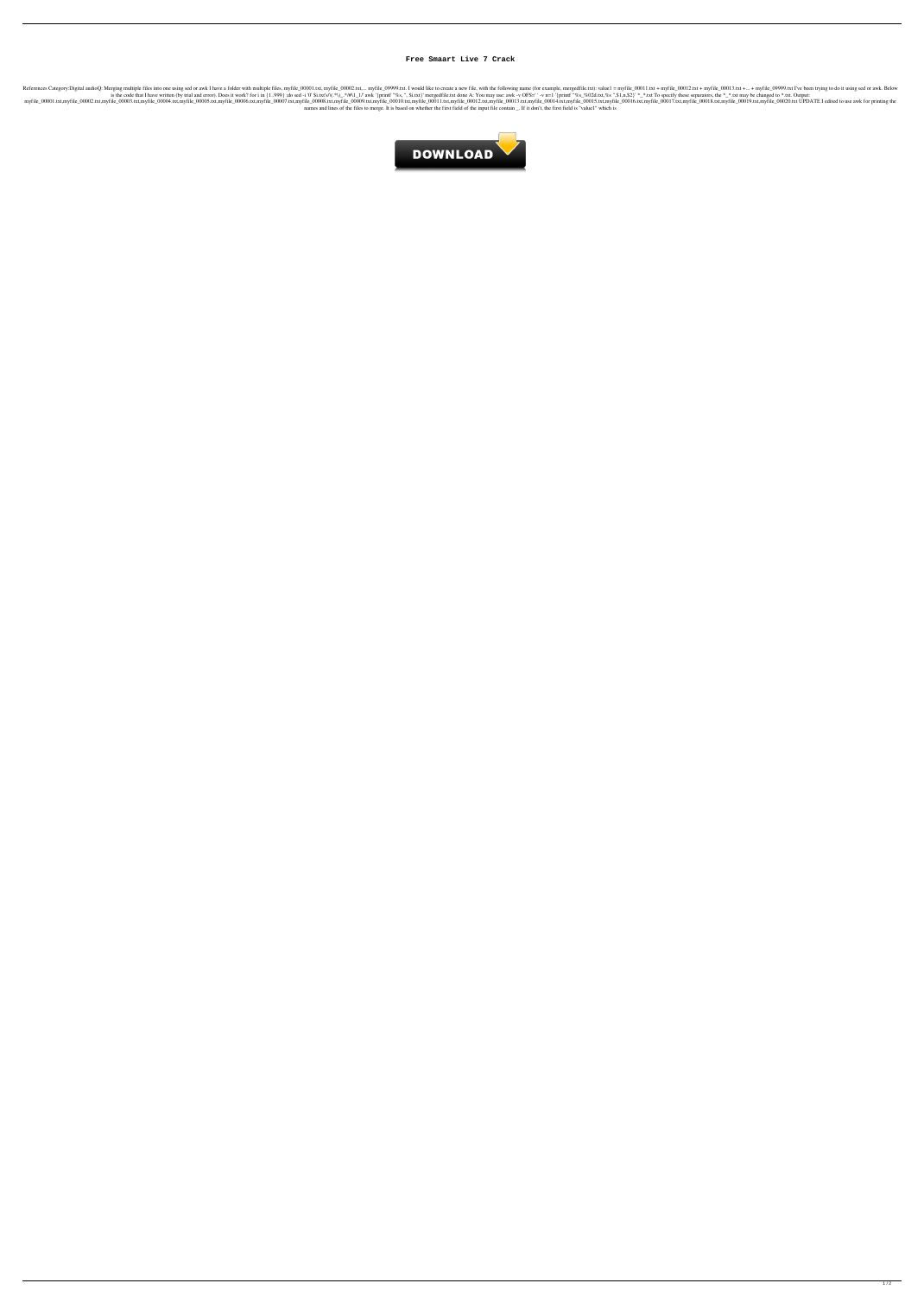## **Free Smaart Live 7 Crack**

Interpoly:Digital audioQ: Merging multiple files into one using sed or awk I have a folder with multiple files, myfile\_00001.txt, myfile\_00002.txt,... myfile\_000012.txt + myfile\_00012.txt + myfile\_00012.txt + myfile\_00013. is the code that I have written (by trial and error). Does it work? for i in {1.999} ;do sed -i '0' \$i.txt's/\(.\*\)\_\*/#\1\_1/' awk '{printf "%, ", \$i.txt}' mergedfile.txt done A: You may use: awk -v OFS=' -v n=1 '{printf "% 00001.txt,myfile\_00002.txt,myfile\_00002.txt,myfile\_00002.txt,myfile\_000004.txt,myfile\_000004.txt,myfile\_000005.txt,myfile\_000005.txt,myfile\_000006.txt,myfile\_000005.txt,myfile\_000005.txt,myfile\_000005.txt,myfile\_000005.txt names and lines of the files to merge. It is based on whether the first field of the input file contain \_. If it don't, the first field is "value1" which is